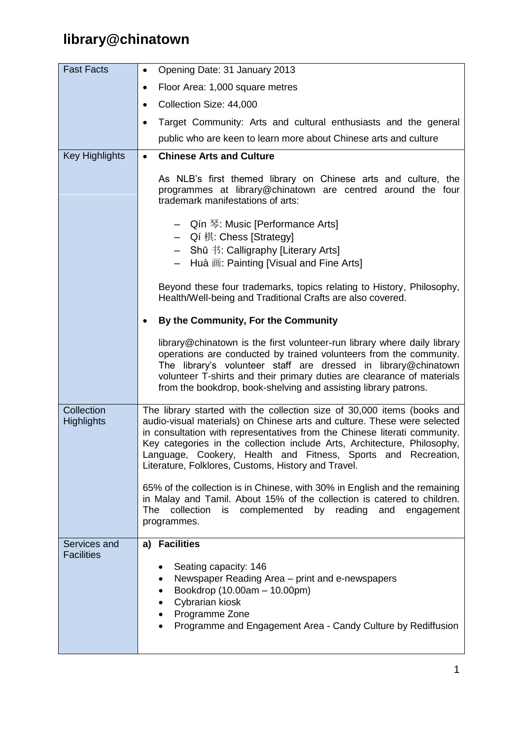## **library@chinatown**

| <b>Fast Facts</b>               | Opening Date: 31 January 2013<br>$\bullet$                                                                                                                                                                                                                                                                                                                                                                                           |
|---------------------------------|--------------------------------------------------------------------------------------------------------------------------------------------------------------------------------------------------------------------------------------------------------------------------------------------------------------------------------------------------------------------------------------------------------------------------------------|
|                                 | Floor Area: 1,000 square metres<br>$\bullet$                                                                                                                                                                                                                                                                                                                                                                                         |
|                                 | Collection Size: 44,000<br>$\bullet$                                                                                                                                                                                                                                                                                                                                                                                                 |
|                                 | Target Community: Arts and cultural enthusiasts and the general<br>$\bullet$                                                                                                                                                                                                                                                                                                                                                         |
|                                 | public who are keen to learn more about Chinese arts and culture                                                                                                                                                                                                                                                                                                                                                                     |
| <b>Key Highlights</b>           | <b>Chinese Arts and Culture</b><br>$\bullet$                                                                                                                                                                                                                                                                                                                                                                                         |
|                                 | As NLB's first themed library on Chinese arts and culture, the<br>programmes at library@chinatown are centred around the four<br>trademark manifestations of arts:                                                                                                                                                                                                                                                                   |
|                                 | - Qín 琴: Music [Performance Arts]<br>- Qí 棋: Chess [Strategy]<br>- Shū 书: Calligraphy [Literary Arts]<br>Huà 画: Painting [Visual and Fine Arts]<br>$-$                                                                                                                                                                                                                                                                               |
|                                 | Beyond these four trademarks, topics relating to History, Philosophy,<br>Health/Well-being and Traditional Crafts are also covered.                                                                                                                                                                                                                                                                                                  |
|                                 | By the Community, For the Community<br>٠                                                                                                                                                                                                                                                                                                                                                                                             |
|                                 | library@chinatown is the first volunteer-run library where daily library<br>operations are conducted by trained volunteers from the community.<br>The library's volunteer staff are dressed in library@chinatown<br>volunteer T-shirts and their primary duties are clearance of materials<br>from the bookdrop, book-shelving and assisting library patrons.                                                                        |
| Collection<br><b>Highlights</b> | The library started with the collection size of 30,000 items (books and<br>audio-visual materials) on Chinese arts and culture. These were selected<br>in consultation with representatives from the Chinese literati community.<br>Key categories in the collection include Arts, Architecture, Philosophy,<br>Language, Cookery, Health and Fitness, Sports and Recreation,<br>Literature, Folklores, Customs, History and Travel. |
|                                 | 65% of the collection is in Chinese, with 30% in English and the remaining<br>in Malay and Tamil. About 15% of the collection is catered to children.<br>is complemented by reading and<br><b>The</b><br>collection<br>engagement<br>programmes.                                                                                                                                                                                     |
| Services and                    | a) Facilities                                                                                                                                                                                                                                                                                                                                                                                                                        |
| <b>Facilities</b>               | Seating capacity: 146<br>Newspaper Reading Area - print and e-newspapers<br>Bookdrop (10.00am - 10.00pm)<br>Cybrarian kiosk<br>Programme Zone<br>Programme and Engagement Area - Candy Culture by Rediffusion                                                                                                                                                                                                                        |